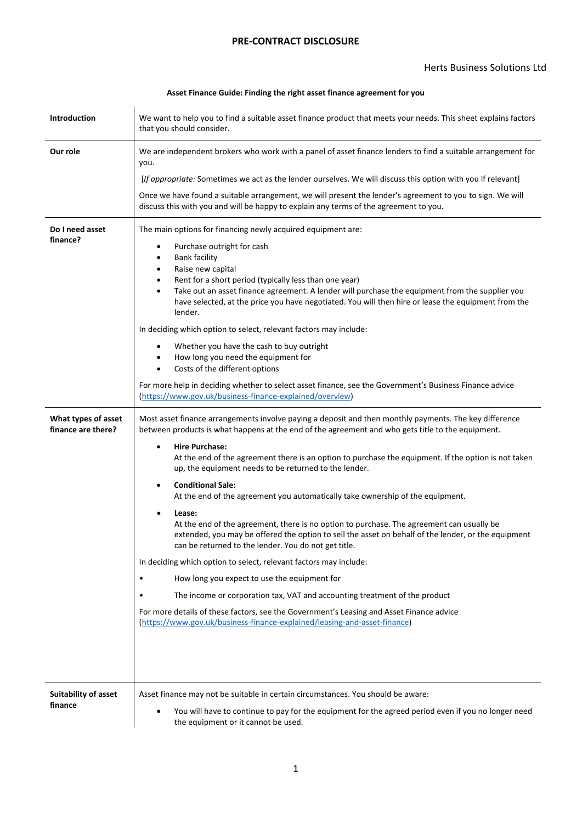## **PRE-CONTRACT DISCLOSURE**

## **Asset Finance Guide: Finding the right asset finance agreement for you**

| <b>Introduction</b>                       | We want to help you to find a suitable asset finance product that meets your needs. This sheet explains factors<br>that you should consider.                                                                                                                                                                                                                                                                                                                                                                                                                                                                                                                                                                                                                                                                                                                                                                                                                                                                                                                                                                                                                                                    |  |  |  |
|-------------------------------------------|-------------------------------------------------------------------------------------------------------------------------------------------------------------------------------------------------------------------------------------------------------------------------------------------------------------------------------------------------------------------------------------------------------------------------------------------------------------------------------------------------------------------------------------------------------------------------------------------------------------------------------------------------------------------------------------------------------------------------------------------------------------------------------------------------------------------------------------------------------------------------------------------------------------------------------------------------------------------------------------------------------------------------------------------------------------------------------------------------------------------------------------------------------------------------------------------------|--|--|--|
| Our role                                  | We are independent brokers who work with a panel of asset finance lenders to find a suitable arrangement for<br>you.                                                                                                                                                                                                                                                                                                                                                                                                                                                                                                                                                                                                                                                                                                                                                                                                                                                                                                                                                                                                                                                                            |  |  |  |
|                                           | [If appropriate: Sometimes we act as the lender ourselves. We will discuss this option with you if relevant]                                                                                                                                                                                                                                                                                                                                                                                                                                                                                                                                                                                                                                                                                                                                                                                                                                                                                                                                                                                                                                                                                    |  |  |  |
|                                           | Once we have found a suitable arrangement, we will present the lender's agreement to you to sign. We will<br>discuss this with you and will be happy to explain any terms of the agreement to you.                                                                                                                                                                                                                                                                                                                                                                                                                                                                                                                                                                                                                                                                                                                                                                                                                                                                                                                                                                                              |  |  |  |
| Do I need asset<br>finance?               | The main options for financing newly acquired equipment are:<br>Purchase outright for cash<br>٠<br><b>Bank facility</b><br>$\bullet$<br>Raise new capital<br>$\bullet$<br>Rent for a short period (typically less than one year)<br>$\bullet$<br>Take out an asset finance agreement. A lender will purchase the equipment from the supplier you<br>$\bullet$<br>have selected, at the price you have negotiated. You will then hire or lease the equipment from the<br>lender.<br>In deciding which option to select, relevant factors may include:<br>Whether you have the cash to buy outright<br>$\bullet$<br>How long you need the equipment for<br>$\bullet$<br>Costs of the different options<br>$\bullet$<br>For more help in deciding whether to select asset finance, see the Government's Business Finance advice<br>(https://www.gov.uk/business-finance-explained/overview)                                                                                                                                                                                                                                                                                                        |  |  |  |
|                                           |                                                                                                                                                                                                                                                                                                                                                                                                                                                                                                                                                                                                                                                                                                                                                                                                                                                                                                                                                                                                                                                                                                                                                                                                 |  |  |  |
| What types of asset<br>finance are there? | Most asset finance arrangements involve paying a deposit and then monthly payments. The key difference<br>between products is what happens at the end of the agreement and who gets title to the equipment.<br><b>Hire Purchase:</b><br>At the end of the agreement there is an option to purchase the equipment. If the option is not taken<br>up, the equipment needs to be returned to the lender.<br><b>Conditional Sale:</b><br>$\bullet$<br>At the end of the agreement you automatically take ownership of the equipment.<br>Lease:<br>At the end of the agreement, there is no option to purchase. The agreement can usually be<br>extended, you may be offered the option to sell the asset on behalf of the lender, or the equipment<br>can be returned to the lender. You do not get title.<br>In deciding which option to select, relevant factors may include:<br>How long you expect to use the equipment for<br>$\bullet$<br>The income or corporation tax, VAT and accounting treatment of the product<br>For more details of these factors, see the Government's Leasing and Asset Finance advice<br>(https://www.gov.uk/business-finance-explained/leasing-and-asset-finance) |  |  |  |
| <b>Suitability of asset</b><br>finance    | Asset finance may not be suitable in certain circumstances. You should be aware:<br>You will have to continue to pay for the equipment for the agreed period even if you no longer need<br>the equipment or it cannot be used.                                                                                                                                                                                                                                                                                                                                                                                                                                                                                                                                                                                                                                                                                                                                                                                                                                                                                                                                                                  |  |  |  |